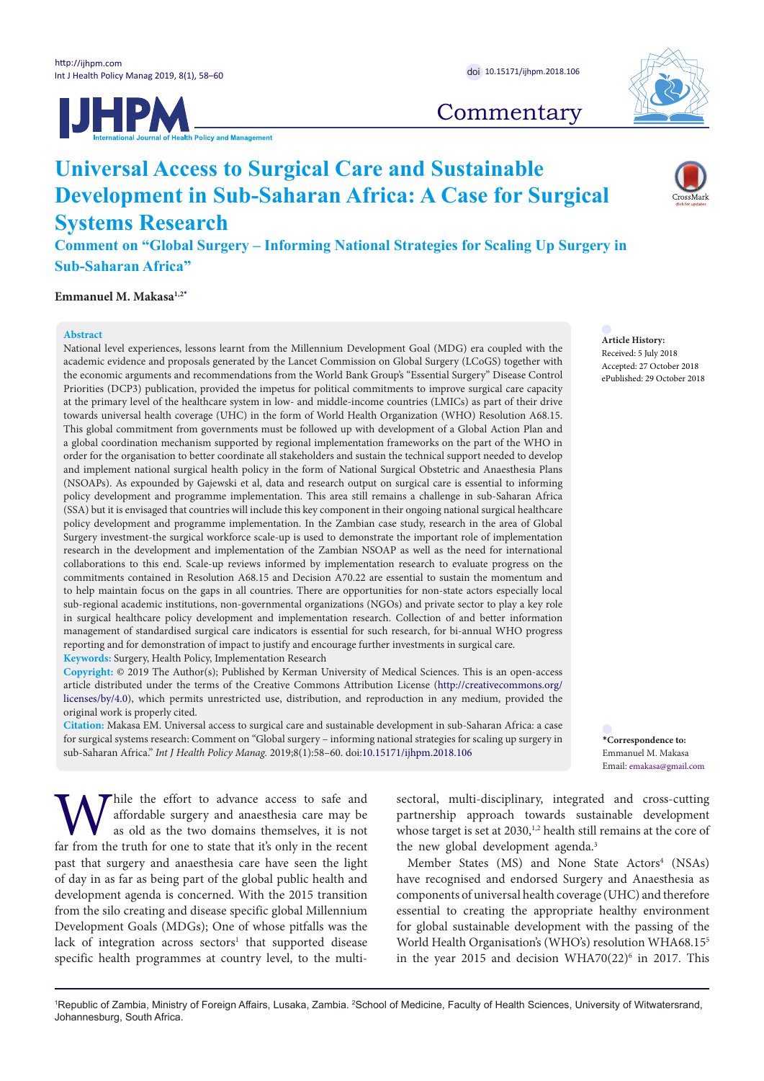



# **Commentary**

# **Universal Access to Surgical Care and Sustainable Development in Sub-Saharan Africa: A Case for Surgical Systems Research**

**Comment on "Global Surgery – Informing National Strategies for Scaling Up Surgery in Sub-Saharan Africa"**

**Emmanuel M. Makasa1,2[\\*](#page-1-0)**

#### **Abstract**

National level experiences, lessons learnt from the Millennium Development Goal (MDG) era coupled with the academic evidence and proposals generated by the Lancet Commission on Global Surgery (LCoGS) together with the economic arguments and recommendations from the World Bank Group's "Essential Surgery" Disease Control Priorities (DCP3) publication, provided the impetus for political commitments to improve surgical care capacity at the primary level of the healthcare system in low- and middle-income countries (LMICs) as part of their drive towards universal health coverage (UHC) in the form of World Health Organization (WHO) Resolution A68.15. This global commitment from governments must be followed up with development of a Global Action Plan and a global coordination mechanism supported by regional implementation frameworks on the part of the WHO in order for the organisation to better coordinate all stakeholders and sustain the technical support needed to develop and implement national surgical health policy in the form of National Surgical Obstetric and Anaesthesia Plans (NSOAPs). As expounded by Gajewski et al, data and research output on surgical care is essential to informing policy development and programme implementation. This area still remains a challenge in sub-Saharan Africa (SSA) but it is envisaged that countries will include this key component in their ongoing national surgical healthcare policy development and programme implementation. In the Zambian case study, research in the area of Global Surgery investment-the surgical workforce scale-up is used to demonstrate the important role of implementation research in the development and implementation of the Zambian NSOAP as well as the need for international collaborations to this end. Scale-up reviews informed by implementation research to evaluate progress on the commitments contained in Resolution A68.15 and Decision A70.22 are essential to sustain the momentum and to help maintain focus on the gaps in all countries. There are opportunities for non-state actors especially local sub-regional academic institutions, non-governmental organizations (NGOs) and private sector to play a key role in surgical healthcare policy development and implementation research. Collection of and better information management of standardised surgical care indicators is essential for such research, for bi-annual WHO progress reporting and for demonstration of impact to justify and encourage further investments in surgical care. **Keywords:** Surgery, Health Policy, Implementation Research

**Copyright:** © 2019 The Author(s); Published by Kerman University of Medical Sciences. This is an open-access article distributed under the terms of the Creative Commons Attribution License [\(http://creativecommons.org/](http://creativecommons.org/licenses/by/4.0) [licenses/by/4.0](http://creativecommons.org/licenses/by/4.0)), which permits unrestricted use, distribution, and reproduction in any medium, provided the original work is properly cited.

**Citation:** Makasa EM. Universal access to surgical care and sustainable development in sub-Saharan Africa: a case for surgical systems research: Comment on "Global surgery – informing national strategies for scaling up surgery in sub-Saharan Africa." *Int J Health Policy Manag.* 2019;8(1):58–60. doi[:10.15171/ijhpm.2018.106](https://doi.org/10.15171/ijhpm.2018.106)

While the effort to advance access to safe and affordable surgery and anaesthesia care may be as old as the two domains themselves, it is not far from the truth for one to state that it's only in the recent affordable surgery and anaesthesia care may be as old as the two domains themselves, it is not far from the truth for one to state that it's only in the recent past that surgery and anaesthesia care have seen the light of day in as far as being part of the global public health and development agenda is concerned. With the 2015 transition from the silo creating and disease specific global Millennium Development Goals (MDGs); One of whose pitfalls was the lack of integration across sectors<sup>1</sup> that supported disease specific health programmes at country level, to the multi-

sectoral, multi-disciplinary, integrated and cross-cutting partnership approach towards sustainable development whose target is set at 2030,<sup>1,2</sup> health still remains at the core of the new global development agenda.<sup>3</sup>

Member States (MS) and None State Actors<sup>4</sup> (NSAs) have recognised and endorsed Surgery and Anaesthesia as components of universal health coverage (UHC) and therefore essential to creating the appropriate healthy environment for global sustainable development with the passing of the World Health Organisation's (WHO's) resolution WHA68.155 in the year 2015 and decision WHA70(22) $\textdegree$  in 2017. This

**Article History:** Received: 5 July 2018 Accepted: 27 October 2018 ePublished: 29 October 2018

**\*Correspondence to:** Emmanuel M. Makasa Email: emakasa@gmail.com

<sup>1</sup>Republic of Zambia, Ministry of Foreign Affairs, Lusaka, Zambia. <sup>2</sup>School of Medicine, Faculty of Health Sciences, University of Witwatersrand, Johannesburg, South Africa.

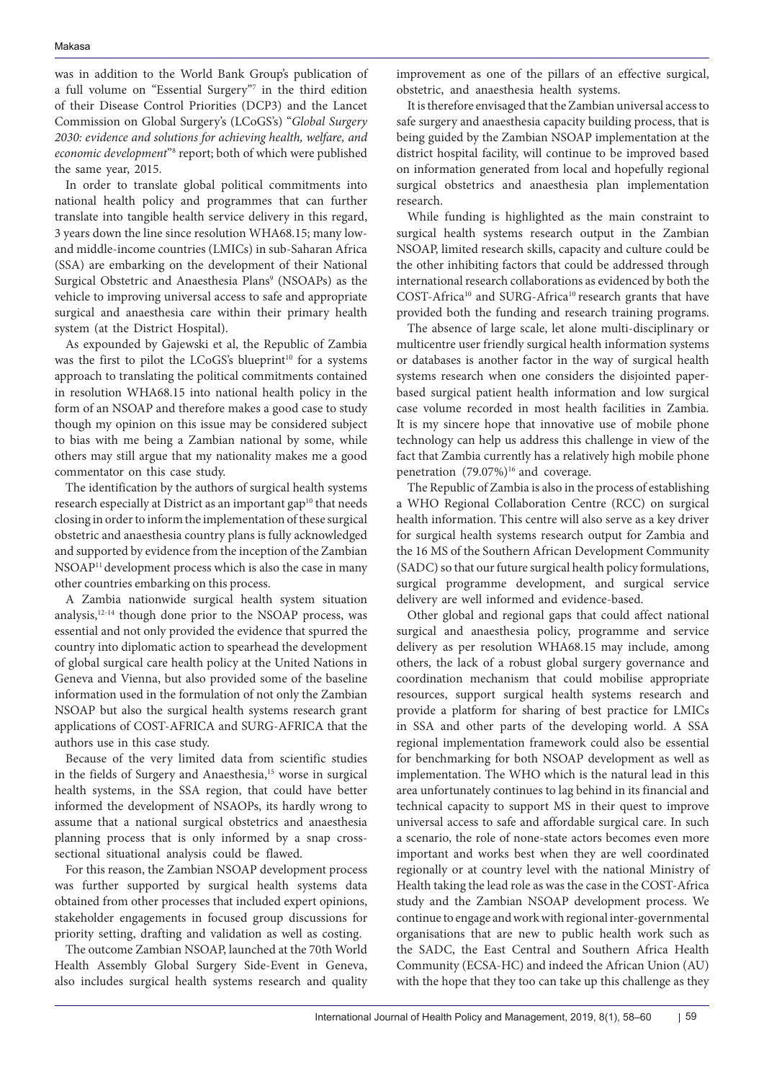was in addition to the World Bank Group's publication of a full volume on "Essential Surgery"7 in the third edition of their Disease Control Priorities (DCP3) and the Lancet Commission on Global Surgery's (LCoGS's) "*Global Surgery 2030: evidence and solutions for achieving health, welfare, and*  economic development"<sup>8</sup> report; both of which were published the same year, 2015.

In order to translate global political commitments into national health policy and programmes that can further translate into tangible health service delivery in this regard, 3 years down the line since resolution WHA68.15; many lowand middle-income countries (LMICs) in sub-Saharan Africa (SSA) are embarking on the development of their National Surgical Obstetric and Anaesthesia Plans<sup>9</sup> (NSOAPs) as the vehicle to improving universal access to safe and appropriate surgical and anaesthesia care within their primary health system (at the District Hospital).

As expounded by Gajewski et al, the Republic of Zambia was the first to pilot the LCoGS's blueprint<sup>10</sup> for a systems approach to translating the political commitments contained in resolution WHA68.15 into national health policy in the form of an NSOAP and therefore makes a good case to study though my opinion on this issue may be considered subject to bias with me being a Zambian national by some, while others may still argue that my nationality makes me a good commentator on this case study.

The identification by the authors of surgical health systems research especially at District as an important gap<sup>10</sup> that needs closing in order to inform the implementation of these surgical obstetric and anaesthesia country plans is fully acknowledged and supported by evidence from the inception of the Zambian NSOAP11 development process which is also the case in many other countries embarking on this process.

A Zambia nationwide surgical health system situation analysis,12-14 though done prior to the NSOAP process, was essential and not only provided the evidence that spurred the country into diplomatic action to spearhead the development of global surgical care health policy at the United Nations in Geneva and Vienna, but also provided some of the baseline information used in the formulation of not only the Zambian NSOAP but also the surgical health systems research grant applications of COST-AFRICA and SURG-AFRICA that the authors use in this case study.

<span id="page-1-0"></span>Because of the very limited data from scientific studies in the fields of Surgery and Anaesthesia,<sup>15</sup> worse in surgical health systems, in the SSA region, that could have better informed the development of NSAOPs, its hardly wrong to assume that a national surgical obstetrics and anaesthesia planning process that is only informed by a snap crosssectional situational analysis could be flawed.

For this reason, the Zambian NSOAP development process was further supported by surgical health systems data obtained from other processes that included expert opinions, stakeholder engagements in focused group discussions for priority setting, drafting and validation as well as costing.

The outcome Zambian NSOAP, launched at the 70th World Health Assembly Global Surgery Side-Event in Geneva, also includes surgical health systems research and quality improvement as one of the pillars of an effective surgical, obstetric, and anaesthesia health systems.

It is therefore envisaged that the Zambian universal access to safe surgery and anaesthesia capacity building process, that is being guided by the Zambian NSOAP implementation at the district hospital facility, will continue to be improved based on information generated from local and hopefully regional surgical obstetrics and anaesthesia plan implementation research.

While funding is highlighted as the main constraint to surgical health systems research output in the Zambian NSOAP, limited research skills, capacity and culture could be the other inhibiting factors that could be addressed through international research collaborations as evidenced by both the COST-Africa10 and SURG-Africa10 research grants that have provided both the funding and research training programs.

The absence of large scale, let alone multi-disciplinary or multicentre user friendly surgical health information systems or databases is another factor in the way of surgical health systems research when one considers the disjointed paperbased surgical patient health information and low surgical case volume recorded in most health facilities in Zambia. It is my sincere hope that innovative use of mobile phone technology can help us address this challenge in view of the fact that Zambia currently has a relatively high mobile phone penetration  $(79.07\%)$ <sup>16</sup> and coverage.

The Republic of Zambia is also in the process of establishing a WHO Regional Collaboration Centre (RCC) on surgical health information. This centre will also serve as a key driver for surgical health systems research output for Zambia and the 16 MS of the Southern African Development Community (SADC) so that our future surgical health policy formulations, surgical programme development, and surgical service delivery are well informed and evidence-based.

Other global and regional gaps that could affect national surgical and anaesthesia policy, programme and service delivery as per resolution WHA68.15 may include, among others, the lack of a robust global surgery governance and coordination mechanism that could mobilise appropriate resources, support surgical health systems research and provide a platform for sharing of best practice for LMICs in SSA and other parts of the developing world. A SSA regional implementation framework could also be essential for benchmarking for both NSOAP development as well as implementation. The WHO which is the natural lead in this area unfortunately continues to lag behind in its financial and technical capacity to support MS in their quest to improve universal access to safe and affordable surgical care. In such a scenario, the role of none-state actors becomes even more important and works best when they are well coordinated regionally or at country level with the national Ministry of Health taking the lead role as was the case in the COST-Africa study and the Zambian NSOAP development process. We continue to engage and work with regional inter-governmental organisations that are new to public health work such as the SADC, the East Central and Southern Africa Health Community (ECSA-HC) and indeed the African Union (AU) with the hope that they too can take up this challenge as they